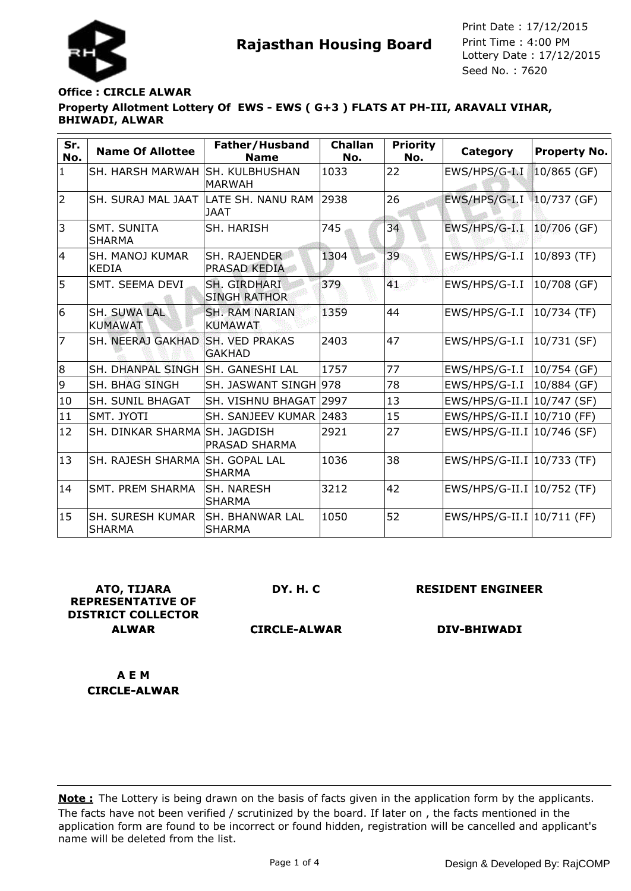



# **Property Allotment Lottery Of EWS - EWS ( G+3 ) FLATS AT PH-III, ARAVALI VIHAR, BHIWADI, ALWAR Office : CIRCLE ALWAR**

| Sr.<br>No.     | <b>Name Of Allottee</b>                  | Father/Husband<br><b>Name</b>              | <b>Challan</b><br>No. | <b>Priority</b><br>No. | Category                     | <b>Property No.</b> |
|----------------|------------------------------------------|--------------------------------------------|-----------------------|------------------------|------------------------------|---------------------|
| $\mathbf{1}$   | SH. HARSH MARWAH ISH. KULBHUSHAN         | <b>MARWAH</b>                              | 1033                  | 22                     | EWS/HPS/G-I.I                | $10/865$ (GF)       |
| $\overline{2}$ | SH. SURAJ MAL JAAT  LATE SH. NANU RAM    | IJAAT                                      | 2938                  | 26                     | EWS/HPS/G-I.I                | $10/737$ (GF)       |
| 3              | SMT. SUNITA<br><b>SHARMA</b>             | SH. HARISH                                 | 745                   | 34                     | EWS/HPS/G-I.I                | 10/706 (GF)         |
| $\overline{4}$ | <b>SH. MANOJ KUMAR</b><br><b>KEDIA</b>   | SH. RAJENDER<br><b>PRASAD KEDIA</b>        | 1304                  | 39                     | EWS/HPS/G-I.I                | 10/893 (TF)         |
| 5              | SMT. SEEMA DEVI                          | <b>SH. GIRDHARI</b><br><b>SINGH RATHOR</b> | 379                   | 41                     | EWS/HPS/G-I.I   10/708 (GF)  |                     |
| 6              | <b>SH. SUWA LAL</b><br><b>KUMAWAT</b>    | <b>SH. RAM NARIAN</b><br><b>KUMAWAT</b>    | 1359                  | 44                     | EWS/HPS/G-I.I   10/734 (TF)  |                     |
| 7              | SH. NEERAJ GAKHAD                        | <b>SH. VED PRAKAS</b><br><b>GAKHAD</b>     | 2403                  | 47                     | EWS/HPS/G-I.I                | 10/731 (SF)         |
| 8              | SH. DHANPAL SINGH SH. GANESHI LAL        |                                            | 1757                  | 77                     | $EWS/HPS/G-I.I$              | 10/754 (GF)         |
| 9              | <b>SH. BHAG SINGH</b>                    | SH. JASWANT SINGH 978                      |                       | 78                     | EWS/HPS/G-I.I                | 10/884 (GF)         |
| 10             | <b>SH. SUNIL BHAGAT</b>                  | SH. VISHNU BHAGAT 2997                     |                       | 13                     | EWS/HPS/G-II.I   10/747 (SF) |                     |
| 11             | SMT. JYOTI                               | SH. SANJEEV KUMAR 2483                     |                       | 15                     | EWS/HPS/G-II.I   10/710 (FF) |                     |
| 12             | SH. DINKAR SHARMA SH. JAGDISH            | <b>PRASAD SHARMA</b>                       | 2921                  | 27                     | EWS/HPS/G-II.I   10/746 (SF) |                     |
| 13             | SH. RAJESH SHARMA SH. GOPAL LAL          | <b>SHARMA</b>                              | 1036                  | 38                     | EWS/HPS/G-II.I   10/733 (TF) |                     |
| 14             | <b>SMT. PREM SHARMA</b>                  | ISH. NARESH<br><b>SHARMA</b>               | 3212                  | 42                     | EWS/HPS/G-II.I   10/752 (TF) |                     |
| 15             | <b>SH. SURESH KUMAR</b><br><b>SHARMA</b> | ISH. BHANWAR LAL<br><b>SHARMA</b>          | 1050                  | 52                     | EWS/HPS/G-II.I   10/711 (FF) |                     |

**ATO, TIJARA REPRESENTATIVE OF DISTRICT COLLECTOR ALWAR**

**DY. H. C**

**RESIDENT ENGINEER**

**CIRCLE-ALWAR**

**DIV-BHIWADI**

**A E M CIRCLE-ALWAR**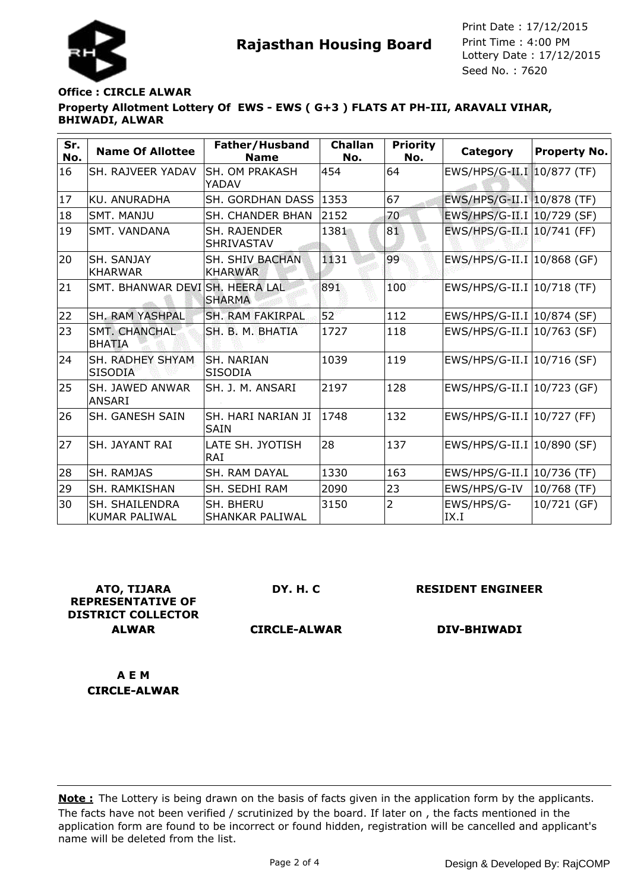



# **Property Allotment Lottery Of EWS - EWS ( G+3 ) FLATS AT PH-III, ARAVALI VIHAR, BHIWADI, ALWAR Office : CIRCLE ALWAR**

| Sr.<br>No. | <b>Name Of Allottee</b>                       | Father/Husband<br><b>Name</b>       | <b>Challan</b><br>No. | <b>Priority</b><br>No. | Category                     | <b>Property No.</b> |
|------------|-----------------------------------------------|-------------------------------------|-----------------------|------------------------|------------------------------|---------------------|
| 16         | <b>SH. RAJVEER YADAV</b>                      | <b>SH. OM PRAKASH</b><br>YADAV      | 454                   | 64                     | EWS/HPS/G-II.I 10/877 (TF)   |                     |
| 17         | <b>KU. ANURADHA</b>                           | <b>SH. GORDHAN DASS</b>             | 1353                  | 67                     | EWS/HPS/G-II.I   10/878 (TF) |                     |
| 18         | <b>SMT, MANJU</b>                             | SH. CHANDER BHAN                    | 2152                  | 70                     | EWS/HPS/G-II.I   10/729 (SF) |                     |
| 19         | <b>SMT. VANDANA</b>                           | <b>SH. RAJENDER</b><br>SHRIVASTAV   | 1381                  | 81                     | EWS/HPS/G-II.I   10/741 (FF) |                     |
| 20         | SH. SANJAY<br><b>KHARWAR</b>                  | SH. SHIV BACHAN<br><b>KHARWAR</b>   | 1131                  | 99                     | EWS/HPS/G-II.I   10/868 (GF) |                     |
| 21         | SMT. BHANWAR DEVISH, HEERA LAL                | <b>SHARMA</b>                       | 891                   | 100                    | EWS/HPS/G-II.I   10/718 (TF) |                     |
| 22         | <b>SH. RAM YASHPAL</b>                        | <b>SH. RAM FAKIRPAL</b>             | 52                    | 112                    | EWS/HPS/G-II.I   10/874 (SF) |                     |
| 23         | <b>SMT. CHANCHAL</b><br><b>BHATIA</b>         | SH. B. M. BHATIA                    | 1727                  | 118                    | EWS/HPS/G-II.I   10/763 (SF) |                     |
| 24         | SH. RADHEY SHYAM<br><b>SISODIA</b>            | <b>SH. NARIAN</b><br><b>SISODIA</b> | 1039                  | 119                    | EWS/HPS/G-II.I   10/716 (SF) |                     |
| 25         | <b>SH. JAWED ANWAR</b><br><b>ANSARI</b>       | SH. J. M. ANSARI                    | 2197                  | 128                    | EWS/HPS/G-II.I   10/723 (GF) |                     |
| 26         | <b>SH. GANESH SAIN</b>                        | SH. HARI NARIAN JI<br><b>SAIN</b>   | 1748                  | 132                    | EWS/HPS/G-II.I   10/727 (FF) |                     |
| 27         | <b>SH. JAYANT RAI</b>                         | LATE SH. JYOTISH<br>RAI             | 28                    | 137                    | EWS/HPS/G-II.I   10/890 (SF) |                     |
| 28         | <b>SH. RAMJAS</b>                             | SH. RAM DAYAL                       | 1330                  | 163                    | EWS/HPS/G-II.I   10/736 (TF) |                     |
| 29         | SH. RAMKISHAN                                 | SH. SEDHI RAM                       | 2090                  | 23                     | EWS/HPS/G-IV                 | 10/768 (TF)         |
| 30         | <b>SH. SHAILENDRA</b><br><b>KUMAR PALIWAL</b> | SH. BHERU<br>SHANKAR PALIWAL        | 3150                  | 2                      | EWS/HPS/G-<br>IX.I           | 10/721 (GF)         |

**ATO, TIJARA REPRESENTATIVE OF DISTRICT COLLECTOR ALWAR**

**DY. H. C**

**RESIDENT ENGINEER**

**CIRCLE-ALWAR**

**DIV-BHIWADI**

**A E M CIRCLE-ALWAR**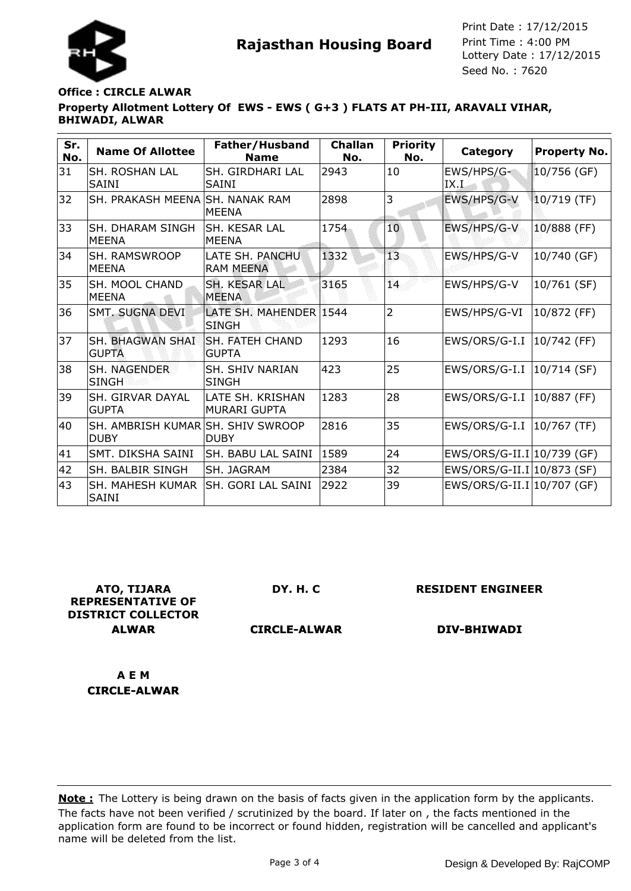

# **Property Allotment Lottery Of EWS - EWS ( G+3 ) FLATS AT PH-III, ARAVALI VIHAR, BHIWADI, ALWAR Office : CIRCLE ALWAR**

| Sr.<br>No. | <b>Name Of Allottee</b>                          | Father/Husband<br><b>Name</b>           | <b>Challan</b><br>No. | <b>Priority</b><br>No. | Category                     | <b>Property No.</b> |
|------------|--------------------------------------------------|-----------------------------------------|-----------------------|------------------------|------------------------------|---------------------|
| 31         | SH. ROSHAN LAL<br><b>SAINI</b>                   | <b>SH. GIRDHARI LAL</b><br><b>SAINI</b> | 2943                  | 10                     | EWS/HPS/G-<br>IX.I           | 10/756 (GF)         |
| 32         | SH. PRAKASH MEENA SH. NANAK RAM                  | IMEENA                                  | 2898                  | 3                      | EWS/HPS/G-V                  | $10/719$ (TF)       |
| 33         | <b>SH. DHARAM SINGH</b><br><b>MEENA</b>          | ISH. KESAR LAL<br><b>MEENA</b>          | 1754                  | 10                     | EWS/HPS/G-V                  | 10/888 (FF)         |
| 34         | <b>SH. RAMSWROOP</b><br><b>MEENA</b>             | LATE SH. PANCHU<br><b>RAM MEENA</b>     | 1332                  | 13                     | EWS/HPS/G-V                  | 10/740 (GF)         |
| 35         | ISH. MOOL CHAND<br><b>MEENA</b>                  | <b>SH. KESAR LAL</b><br><b>MFFNA</b>    | 3165                  | 14.                    | EWS/HPS/G-V                  | 10/761 (SF)         |
| 36         | <b>SMT. SUGNA DEVI</b>                           | LATE SH. MAHENDER 1544<br><b>SINGH</b>  |                       | $\overline{2}$         | EWS/HPS/G-VI                 | 10/872 (FF)         |
| 37         | SH. BHAGWAN SHAI<br><b>GUPTA</b>                 | <b>SH. FATEH CHAND</b><br><b>GUPTA</b>  | 1293                  | 16                     | EWS/ORS/G-I.I   10/742 (FF)  |                     |
| 38         | <b>SH. NAGENDER</b><br><b>SINGH</b>              | <b>SH. SHIV NARIAN</b><br><b>SINGH</b>  | 423                   | 25                     | EWS/ORS/G-I.I   10/714 (SF)  |                     |
| 39         | <b>SH. GIRVAR DAYAL</b><br><b>GUPTA</b>          | LATE SH. KRISHAN<br><b>MURARI GUPTA</b> | 1283                  | 28                     | EWS/ORS/G-I.I   10/887 (FF)  |                     |
| 40         | SH. AMBRISH KUMAR SH. SHIV SWROOP<br><b>DUBY</b> | <b>DUBY</b>                             | 2816                  | 35                     | EWS/ORS/G-I.I   10/767 (TF)  |                     |
| 41         | SMT. DIKSHA SAINI                                | <b>SH. BABU LAL SAINI</b>               | 1589                  | 24                     | EWS/ORS/G-II.I   10/739 (GF) |                     |
| 42         | SH. BALBIR SINGH                                 | SH. JAGRAM                              | 2384                  | 32                     | EWS/ORS/G-II.I 10/873 (SF)   |                     |
| 43         | SH. MAHESH KUMAR<br><b>SAINI</b>                 | lSH. GORI LAL SAINI                     | 2922                  | 39                     | EWS/ORS/G-II.I   10/707 (GF) |                     |

**ATO, TIJARA REPRESENTATIVE OF DISTRICT COLLECTOR ALWAR**

**DY. H. C**

**RESIDENT ENGINEER**

**CIRCLE-ALWAR**

**DIV-BHIWADI**

**A E M CIRCLE-ALWAR**